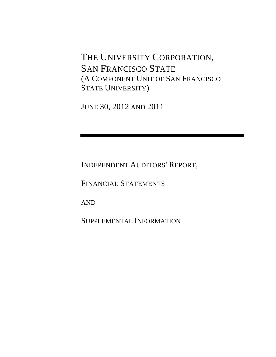THE UNIVERSITY CORPORATION, SAN FRANCISCO STATE (A COMPONENT UNIT OF SAN FRANCISCO STATE UNIVERSITY)

JUNE 30, 2012 AND 2011

INDEPENDENT AUDITORS' REPORT,

FINANCIAL STATEMENTS

AND

SUPPLEMENTAL INFORMATION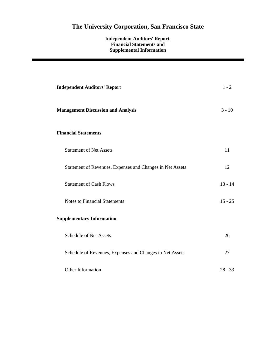## **Independent Auditors' Report, Financial Statements and Supplemental Information**

| <b>Independent Auditors' Report</b>                       | $1 - 2$   |
|-----------------------------------------------------------|-----------|
| <b>Management Discussion and Analysis</b>                 | $3 - 10$  |
| <b>Financial Statements</b>                               |           |
| <b>Statement of Net Assets</b>                            | 11        |
| Statement of Revenues, Expenses and Changes in Net Assets | 12        |
| <b>Statement of Cash Flows</b>                            | $13 - 14$ |
| <b>Notes to Financial Statements</b>                      | $15 - 25$ |
| <b>Supplementary Information</b>                          |           |
| <b>Schedule of Net Assets</b>                             | 26        |
| Schedule of Revenues, Expenses and Changes in Net Assets  | 27        |
| Other Information                                         | $28 - 33$ |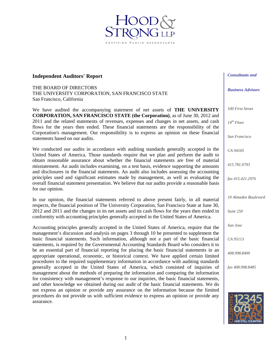## **Independent Auditors' Report**

THE BOARD OF DIRECTORS THE UNIVERSITY CORPORATION, SAN FRANCISCO STATE San Francisco, California

We have audited the accompanying statement of net assets of **THE UNIVERSITY CORPORATION, SAN FRANCISCO STATE (the Corporation)**, as of June 30, 2012 and 2011 and the related statements of revenues, expenses and changes in net assets, and cash flows for the years then ended. These financial statements are the responsibility of the Corporation's management. Our responsibility is to express an opinion on these financial statements based on our audits.

ED PUBLIC ACCOU

We conducted our audits in accordance with auditing standards generally accepted in the United States of America. Those standards require that we plan and perform the audit to obtain reasonable assurance about whether the financial statements are free of material misstatement. An audit includes examining, on a test basis, evidence supporting the amounts and disclosures in the financial statements. An audit also includes assessing the accounting principles used and significant estimates made by management, as well as evaluating the overall financial statement presentation. We believe that our audits provide a reasonable basis for our opinion.

In our opinion, the financial statements referred to above present fairly, in all material respects, the financial position of The University Corporation, San Francisco State at June 30, 2012 and 2011 and the changes in its net assets and its cash flows for the years then ended in conformity with accounting principles generally accepted in the United States of America.

Accounting principles generally accepted in the United States of America, require that the management's discussion and analysis on pages 3 through 10 be presented to supplement the basic financial statements. Such information, although not a part of the basic financial statements, is required by the Governmental Accounting Standards Board who considers it to be an essential part of financial reporting for placing the basic financial statements in an appropriate operational, economic, or historical context. We have applied certain limited procedures to the required supplementary information in accordance with auditing standards generally accepted in the United States of America, which consisted of inquiries of management about the methods of preparing the information and comparing the information for consistency with management's response to our inquiries, the basic financial statements, and other knowledge we obtained during our audit of the basic financial statements. We do not express an opinion or provide any assurance on the information because the limited procedures do not provide us with sufficient evidence to express an opinion or provide any assurance.



*Consultants and* 

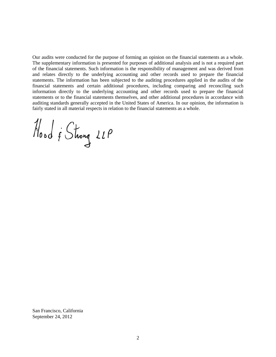Our audits were conducted for the purpose of forming an opinion on the financial statements as a whole. The supplementary information is presented for purposes of additional analysis and is not a required part of the financial statements. Such information is the responsibility of management and was derived from and relates directly to the underlying accounting and other records used to prepare the financial statements. The information has been subjected to the auditing procedures applied in the audits of the financial statements and certain additional procedures, including comparing and reconciling such information directly to the underlying accounting and other records used to prepare the financial statements or to the financial statements themselves, and other additional procedures in accordance with auditing standards generally accepted in the United States of America. In our opinion, the information is fairly stated in all material respects in relation to the financial statements as a whole.

Hood & Strong 22P

San Francisco, California September 24, 2012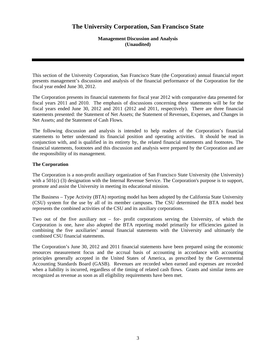## **Management Discussion and Analysis (Unaudited)**

This section of the University Corporation, San Francisco State (the Corporation) annual financial report presents management's discussion and analysis of the financial performance of the Corporation for the fiscal year ended June 30, 2012.

The Corporation presents its financial statements for fiscal year 2012 with comparative data presented for fiscal years 2011 and 2010. The emphasis of discussions concerning these statements will be for the fiscal years ended June 30, 2012 and 2011 (2012 and 2011, respectively). There are three financial statements presented: the Statement of Net Assets; the Statement of Revenues, Expenses, and Changes in Net Assets; and the Statement of Cash Flows.

The following discussion and analysis is intended to help readers of the Corporation's financial statements to better understand its financial position and operating activities. It should be read in conjunction with, and is qualified in its entirety by, the related financial statements and footnotes. The financial statements, footnotes and this discussion and analysis were prepared by the Corporation and are the responsibility of its management.

## **The Corporation**

The Corporation is a non-profit auxiliary organization of San Francisco State University (the University) with a 501(c) (3) designation with the Internal Revenue Service. The Corporation's purpose is to support, promote and assist the University in meeting its educational mission.

The Business – Type Activity (BTA) reporting model has been adopted by the California State University (CSU) system for the use by all of its member campuses. The CSU determined the BTA model best represents the combined activities of the CSU and its auxiliary corporations.

Two out of the five auxiliary not – for- profit corporations serving the University, of which the Corporation is one, have also adopted the BTA reporting model primarily for efficiencies gained in combining the five auxiliaries' annual financial statements with the University and ultimately the combined CSU financial statements.

The Corporation's June 30, 2012 and 2011 financial statements have been prepared using the economic resources measurement focus and the accrual basis of accounting in accordance with accounting principles generally accepted in the United States of America, as prescribed by the Governmental Accounting Standards Board (GASB). Revenues are recorded when earned and expenses are recorded when a liability is incurred, regardless of the timing of related cash flows. Grants and similar items are recognized as revenue as soon as all eligibility requirements have been met.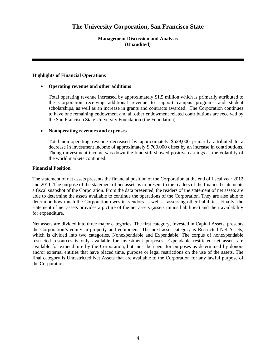**Management Discussion and Analysis (Unaudited)** 

## **Highlights of Financial Operations**

## • **Operating revenue and other additions**

Total operating revenue increased by approximately \$1.5 million which is primarily attributed to the Corporation receiving additional revenue to support campus programs and student scholarships, as well as an increase in grants and contracts awarded. The Corporation continues to have one remaining endowment and all other endowment related contributions are received by the San Francisco State University Foundation (the Foundation).

## • **Nonoperating revenues and expenses**

Total non-operating revenue decreased by approximately \$629,000 primarily attributed to a decrease in investment income of approximately \$ 700,000 offset by an increase in contributions. Though investment income was down the fund still showed positive earnings as the volatility of the world markets continued.

## **Financial Position**

The statement of net assets presents the financial position of the Corporation at the end of fiscal year 2012 and 2011. The purpose of the statement of net assets is to present to the readers of the financial statements a fiscal snapshot of the Corporation. From the data presented, the readers of the statement of net assets are able to determine the assets available to continue the operations of the Corporation. They are also able to determine how much the Corporation owes its vendors as well as assessing other liabilities. Finally, the statement of net assets provides a picture of the net assets (assets minus liabilities) and their availability for expenditure.

Net assets are divided into three major categories. The first category, Invested in Capital Assets, presents the Corporation's equity in property and equipment. The next asset category is Restricted Net Assets, which is divided into two categories, Nonexpendable and Expendable. The corpus of nonexpendable restricted resources is only available for investment purposes. Expendable restricted net assets are available for expenditure by the Corporation, but must be spent for purposes as determined by donors and/or external entities that have placed time, purpose or legal restrictions on the use of the assets. The final category is Unrestricted Net Assets that are available to the Corporation for any lawful purpose of the Corporation.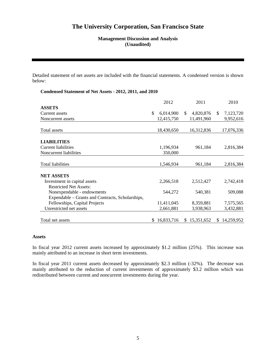## **Management Discussion and Analysis (Unaudited)**

Detailed statement of net assets are included with the financial statements. A condensed version is shown below:

## **Condensed Statement of Net Assets - 2012, 2011, and 2010**

|                                                  | 2012             |    | 2011       |     | 2010       |
|--------------------------------------------------|------------------|----|------------|-----|------------|
| <b>ASSETS</b>                                    |                  |    |            |     |            |
| Current assets                                   | \$<br>6,014,900  | \$ | 4,820,876  | \$. | 7,123,720  |
| Noncurrent assets                                | 12,415,750       |    | 11,491,960 |     | 9,952,616  |
| Total assets                                     | 18,430,650       |    | 16,312,836 |     | 17,076,336 |
| <b>LIABILITIES</b>                               |                  |    |            |     |            |
| <b>Current liabilities</b>                       | 1,196,934        |    | 961,184    |     | 2,816,384  |
| Noncurrent liabilities                           | 350,000          |    |            |     |            |
| Total liabilities                                | 1,546,934        |    | 961,184    |     | 2,816,384  |
| <b>NET ASSETS</b>                                |                  |    |            |     |            |
| Investment in capital assets                     | 2,266,518        |    | 2,512,427  |     | 2,742,418  |
| <b>Restricted Net Assets:</b>                    |                  |    |            |     |            |
| Nonexpendable - endowments                       | 544,272          |    | 540,381    |     | 509,088    |
| Expendable – Grants and Contracts, Scholarships, |                  |    |            |     |            |
| Fellowships, Capital Projects                    | 11,411,045       |    | 8,359,881  |     | 7,575,565  |
| Unrestricted net assets                          | 2,661,881        |    | 3,938,963  |     | 3,432,881  |
| Total net assets                                 | \$<br>16,833,716 | S. | 15,351,652 | \$. | 14,259,952 |
|                                                  |                  |    |            |     |            |

#### **Assets**

In fiscal year 2012 current assets increased by approximately \$1.2 million (25%). This increase was mainly attributed to an increase in short term investments.

In fiscal year 2011 current assets decreased by approximately \$2.3 million (-32%). The decrease was mainly attributed to the reduction of current investments of approximately \$3.2 million which was redistributed between current and noncurrent investments during the year.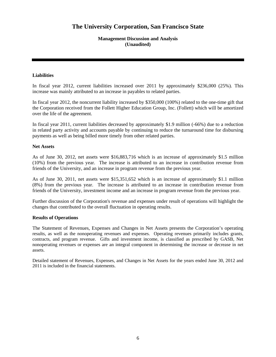## **Management Discussion and Analysis (Unaudited)**

## **Liabilities**

In fiscal year 2012, current liabilities increased over 2011 by approximately \$236,000 (25%). This increase was mainly attributed to an increase in payables to related parties.

In fiscal year 2012, the noncurrent liability increased by \$350,000 (100%) related to the one-time gift that the Corporation received from the Follett Higher Education Group, Inc. (Follett) which will be amortized over the life of the agreement.

In fiscal year 2011, current liabilities decreased by approximately \$1.9 million (-66%) due to a reduction in related party activity and accounts payable by continuing to reduce the turnaround time for disbursing payments as well as being billed more timely from other related parties.

### **Net Assets**

As of June 30, 2012, net assets were \$16,883,716 which is an increase of approximately \$1.5 million (10%) from the previous year. The increase is attributed to an increase in contribution revenue from friends of the University, and an increase in program revenue from the previous year.

As of June 30, 2011, net assets were \$15,351,652 which is an increase of approximately \$1.1 million (8%) from the previous year. The increase is attributed to an increase in contribution revenue from friends of the University, investment income and an increase in program revenue from the previous year.

Further discussion of the Corporation's revenue and expenses under result of operations will highlight the changes that contributed to the overall fluctuation in operating results.

### **Results of Operations**

The Statement of Revenues, Expenses and Changes in Net Assets presents the Corporation's operating results, as well as the nonoperating revenues and expenses. Operating revenues primarily includes grants, contracts, and program revenue. Gifts and investment income, is classified as prescribed by GASB, Net nonoperating revenues or expenses are an integral component in determining the increase or decrease in net assets.

Detailed statement of Revenues, Expenses, and Changes in Net Assets for the years ended June 30, 2012 and 2011 is included in the financial statements.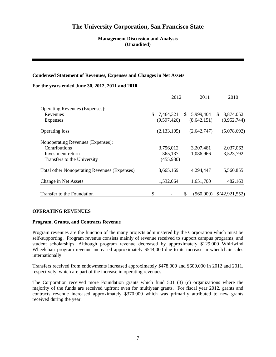## **Management Discussion and Analysis (Unaudited)**

## **Condensed Statement of Revenues, Expenses and Changes in Net Assets**

### **For the years ended June 30, 2012, 2011 and 2010**

|                                                     | 2012          |              | 2011        |              | 2010           |
|-----------------------------------------------------|---------------|--------------|-------------|--------------|----------------|
| <b>Operating Revenues (Expenses):</b>               |               |              |             |              |                |
| Revenues                                            | 7,464,321     | $\mathbb{S}$ | 5,999,404   | <sup>S</sup> | 3,874,052      |
| Expenses                                            | (9,597,426)   |              | (8,642,151) |              | (8,952,744)    |
| <b>Operating loss</b>                               | (2, 133, 105) |              | (2,642,747) |              | (5,078,692)    |
| Nonoperating Revenues (Expenses):                   |               |              |             |              |                |
| Contributions                                       | 3,756,012     |              | 3,207,481   |              | 2,037,063      |
| Investment return                                   | 365,137       |              | 1,086,966   |              | 3,523,792      |
| Transfers to the University                         | (455,980)     |              |             |              |                |
| <b>Total other Nonoperating Revenues (Expenses)</b> | 3,665,169     |              | 4,294,447   |              | 5,560,855      |
| Change in Net Assets                                | 1,532,064     |              | 1,651,700   |              | 482,163        |
| Transfer to the Foundation                          | \$            | \$           | (560.000)   |              | \$(42,921,552) |

### **OPERATING REVENUES**

### **Program, Grants, and Contracts Revenue**

Program revenues are the function of the many projects administered by the Corporation which must be self-supporting. Program revenue consists mainly of revenue received to support campus programs, and student scholarships. Although program revenue decreased by approximately \$129,000 Whirlwind Wheelchair program revenue increased approximately \$544,000 due to its increase in wheelchair sales internationally.

Transfers received from endowments increased approximately \$478,000 and \$600,000 in 2012 and 2011, respectively, which are part of the increase in operating revenues.

The Corporation received more Foundation grants which fund 501 (3) (c) organizations where the majority of the funds are received upfront even for multiyear grants. For fiscal year 2012, grants and contracts revenue increased approximately \$370,000 which was primarily attributed to new grants received during the year.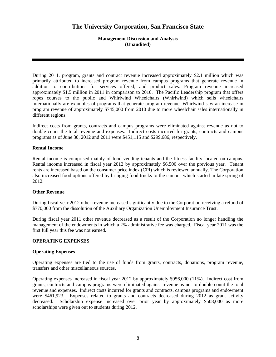## **Management Discussion and Analysis (Unaudited)**

During 2011, program, grants and contract revenue increased approximately \$2.1 million which was primarily attributed to increased program revenue from campus programs that generate revenue in addition to contributions for services offered, and product sales. Program revenue increased approximately \$1.5 million in 2011 in comparison to 2010. The Pacific Leadership program that offers ropes courses to the public and Whirlwind Wheelchairs (Whirlwind) which sells wheelchairs internationally are examples of programs that generate program revenue. Whirlwind saw an increase in program revenue of approximately \$745,000 from 2010 due to more wheelchair sales internationally in different regions.

Indirect costs from grants, contracts and campus programs were eliminated against revenue as not to double count the total revenue and expenses. Indirect costs incurred for grants, contracts and campus programs as of June 30, 2012 and 2011 were \$451,115 and \$299,686, respectively.

## **Rental Income**

Rental income is comprised mainly of food vending tenants and the fitness facility located on campus. Rental income increased in fiscal year 2012 by approximately \$6,500 over the previous year. Tenant rents are increased based on the consumer price index (CPI) which is reviewed annually. The Corporation also increased food options offered by bringing food trucks to the campus which started in late spring of 2012.

## **Other Revenue**

During fiscal year 2012 other revenue increased significantly due to the Corporation receiving a refund of \$770,000 from the dissolution of the Auxiliary Organization Unemployment Insurance Trust.

During fiscal year 2011 other revenue decreased as a result of the Corporation no longer handling the management of the endowments in which a 2% administrative fee was charged. Fiscal year 2011 was the first full year this fee was not earned.

## **OPERATING EXPENSES**

### **Operating Expenses**

Operating expenses are tied to the use of funds from grants, contracts, donations, program revenue, transfers and other miscellaneous sources.

Operating expenses increased in fiscal year 2012 by approximately \$956,000 (11%). Indirect cost from grants, contracts and campus programs were eliminated against revenue as not to double count the total revenue and expenses. Indirect costs incurred for grants and contracts, campus programs and endowment were \$461,923. Expenses related to grants and contracts decreased during 2012 as grant activity decreased. Scholarship expense increased over prior year by approximately \$508,000 as more scholarships were given out to students during 2012.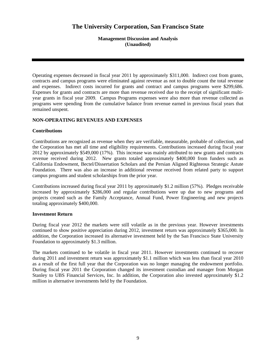**Management Discussion and Analysis (Unaudited)** 

Operating expenses decreased in fiscal year 2011 by approximately \$311,000. Indirect cost from grants, contracts and campus programs were eliminated against revenue as not to double count the total revenue and expenses. Indirect costs incurred for grants and contract and campus programs were \$299,686. Expenses for grants and contracts are more than revenue received due to the receipt of significant multiyear grants in fiscal year 2009. Campus Programs expenses were also more than revenue collected as programs were spending from the cumulative balance from revenue earned in previous fiscal years that remained unspent.

## **NON-OPERATING REVENUES AND EXPENSES**

## **Contributions**

Contributions are recognized as revenue when they are verifiable, measurable, probable of collection, and the Corporation has met all time and eligibility requirements. Contributions increased during fiscal year 2012 by approximately \$549,000 (17%). This increase was mainly attributed to new grants and contracts revenue received during 2012. New grants totaled approximately \$400,000 from funders such as California Endowment, Bectel/Dissertation Scholars and the Persian Aligned Righteous Strategic Astute Foundation. There was also an increase in additional revenue received from related party to support campus programs and student scholarships from the prior year.

Contributions increased during fiscal year 2011 by approximately \$1.2 million (57%). Pledges receivable increased by approximately \$286,000 and regular contributions were up due to new programs and projects created such as the Family Acceptance, Annual Fund, Power Engineering and new projects totaling approximately \$400,000.

### **Investment Return**

During fiscal year 2012 the markets were still volatile as in the previous year. However investments continued to show positive appreciation during 2012, investment return was approximately \$365,000. In addition, the Corporation increased its alternative investment held by the San Francisco State University Foundation to approximately \$1.3 million.

The markets continued to be volatile in fiscal year 2011. However investments continued to recover during 2011 and investment return was approximately \$1.1 million which was less than fiscal year 2010 as a result of the first full year that the Corporation was no longer managing the endowment portfolio. During fiscal year 2011 the Corporation changed its investment custodian and manager from Morgan Stanley to UBS Financial Services, Inc. In addition, the Corporation also invested approximately \$1.2 million in alternative investments held by the Foundation.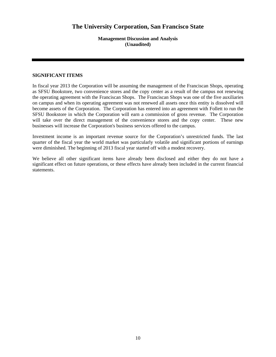**Management Discussion and Analysis (Unaudited)** 

## **SIGNIFICANT ITEMS**

In fiscal year 2013 the Corporation will be assuming the management of the Franciscan Shops, operating as SFSU Bookstore, two convenience stores and the copy center as a result of the campus not renewing the operating agreement with the Franciscan Shops. The Franciscan Shops was one of the five auxiliaries on campus and when its operating agreement was not renewed all assets once this entity is dissolved will become assets of the Corporation. The Corporation has entered into an agreement with Follett to run the SFSU Bookstore in which the Corporation will earn a commission of gross revenue. The Corporation will take over the direct management of the convenience stores and the copy center. These new businesses will increase the Corporation's business services offered to the campus.

Investment income is an important revenue source for the Corporation's unrestricted funds. The last quarter of the fiscal year the world market was particularly volatile and significant portions of earnings were diminished. The beginning of 2013 fiscal year started off with a modest recovery.

We believe all other significant items have already been disclosed and either they do not have a significant effect on future operations, or these effects have already been included in the current financial statements.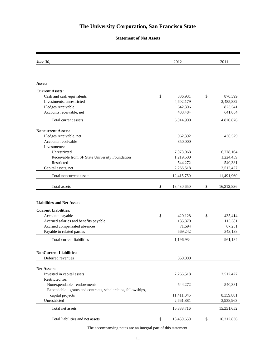## **Statement of Net Assets**

| <i>June 30,</i>                                               | 2012             | 2011             |
|---------------------------------------------------------------|------------------|------------------|
|                                                               |                  |                  |
| <b>Assets</b>                                                 |                  |                  |
| <b>Current Assets:</b>                                        |                  |                  |
| Cash and cash equivalents                                     | \$<br>336,931    | \$<br>870,399    |
| Investments, unrestricted                                     | 4,602,179        | 2,485,882        |
| Pledges receivable                                            | 642,306          | 823,541          |
| Accounts receivable, net                                      | 433,484          | 641,054          |
| Total current assets                                          | 6,014,900        | 4,820,876        |
| <b>Noncurrent Assets:</b>                                     |                  |                  |
| Pledges receivable, net                                       | 962,392          | 436,529          |
| Accounts receivable                                           | 350,000          |                  |
| Investments:                                                  |                  |                  |
| Unrestricted                                                  | 7,073,068        | 6,778,164        |
| Receivable from SF State University Foundation                | 1,219,500        | 1,224,459        |
| Restricted                                                    | 544,272          | 540,381          |
| Capital assets, net                                           | 2,266,518        | 2,512,427        |
| Total noncurrent assets                                       | 12,415,750       | 11,491,960       |
| Total assets                                                  | \$<br>18,430,650 | \$<br>16,312,836 |
| <b>Liabilities and Net Assets</b>                             |                  |                  |
| <b>Current Liabilities:</b>                                   |                  |                  |
| Accounts payable                                              | \$<br>420,128    | \$<br>435,414    |
| Accrued salaries and benefits payable                         | 135,870          | 115,381          |
| Accrued compensated absences                                  | 71,694           | 67,251           |
| Payable to related parties                                    | 569,242          | 343,138          |
| Total current liabilities                                     | 1,196,934        | 961,184          |
|                                                               |                  |                  |
| <b>NonCurrent Liabilities:</b>                                |                  |                  |
| Deferred revenues                                             | 350,000          |                  |
| <b>Net Assets:</b>                                            |                  |                  |
| Invested in capital assets                                    | 2,266,518        | 2,512,427        |
| Restricted for:                                               |                  |                  |
| Nonexpendable - endowments                                    | 544,272          | 540,381          |
| Expendable - grants and contracts, scholarships, fellowships, |                  |                  |
| capital projects                                              | 11,411,045       | 8,359,881        |
| Unrestricted                                                  | 2,661,881        | 3,938,963        |
| Total net assets                                              | 16,883,716       | 15,351,652       |
| Total liabilities and net assets                              |                  |                  |
|                                                               | \$<br>18,430,650 | \$<br>16,312,836 |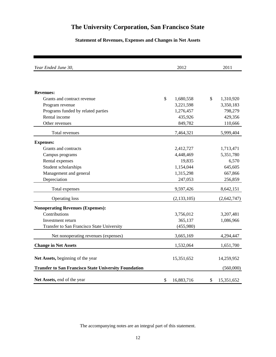## **Statement of Revenues, Expenses and Changes in Net Assets**

| Year Ended June 30,                                          | 2012             | 2011             |
|--------------------------------------------------------------|------------------|------------------|
|                                                              |                  |                  |
| <b>Revenues:</b>                                             |                  |                  |
| Grants and contract revenue                                  | \$<br>1,680,558  | \$<br>1,310,920  |
| Program revenue                                              | 3,221,598        | 3,350,183        |
| Programs funded by related parties                           | 1,276,457        | 798,279          |
| Rental income                                                | 435,926          | 429,356          |
| Other revenues                                               | 849,782          | 110,666          |
|                                                              |                  |                  |
| Total revenues                                               | 7,464,321        | 5,999,404        |
| <b>Expenses:</b>                                             |                  |                  |
| Grants and contracts                                         | 2,412,727        | 1,713,471        |
| Campus programs                                              | 4,448,469        | 5,351,780        |
| Rental expenses                                              | 19,835           | 6,570            |
| Student scholarships                                         | 1,154,044        | 645,605          |
| Management and general                                       | 1,315,298        | 667,866          |
| Depreciation                                                 | 247,053          | 256,859          |
| Total expenses                                               | 9,597,426        | 8,642,151        |
| Operating loss                                               | (2, 133, 105)    | (2, 642, 747)    |
| <b>Nonoperating Revenues (Expenses):</b>                     |                  |                  |
| Contributions                                                | 3,756,012        | 3,207,481        |
| Investment return                                            | 365,137          | 1,086,966        |
| Transfer to San Francisco State University                   | (455,980)        |                  |
| Net nonoperating revenues (expenses)                         | 3,665,169        | 4,294,447        |
| <b>Change in Net Assets</b>                                  | 1,532,064        | 1,651,700        |
| Net Assets, beginning of the year                            | 15,351,652       | 14,259,952       |
| <b>Transfer to San Francisco State University Foundation</b> |                  | (560,000)        |
|                                                              |                  |                  |
| Net Assets, end of the year                                  | \$<br>16,883,716 | \$<br>15,351,652 |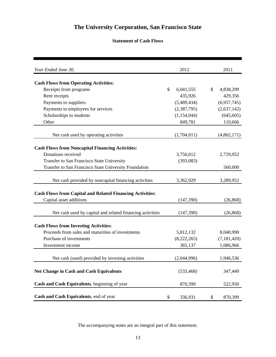## **Statement of Cash Flows**

| Year Ended June 30,                                              | 2012            | 2011            |
|------------------------------------------------------------------|-----------------|-----------------|
|                                                                  |                 |                 |
| <b>Cash Flows from Operating Activities:</b>                     |                 |                 |
| Receipts from programs                                           | \$<br>6,041,555 | \$<br>4,838,299 |
| Rent receipts                                                    | 435,926         | 429,356         |
| Payments to suppliers                                            | (5,489,434)     | (6,957,745)     |
| Payments to employees for services                               | (2,387,795)     | (2,637,142)     |
| Scholarships to students                                         | (1, 154, 044)   | (645, 605)      |
| Other                                                            | 849,781         | 110,666         |
| Net cash used by operating activities                            | (1,704,011)     | (4,862,171)     |
| <b>Cash Flows from Noncapital Financing Activities:</b>          |                 |                 |
| Donations received                                               | 3,756,012       | 2,729,952       |
| Transfer to San Francisco State University                       | (393,083)       |                 |
| Transfer to San Francisco State University Foundation            |                 | 560,000         |
|                                                                  |                 |                 |
| Net cash provided by noncapital financing activities             | 3,362,929       | 3,289,952       |
| <b>Cash Flows from Capital and Related Financing Activities:</b> |                 |                 |
| Capital asset additions                                          | (147,390)       | (26, 868)       |
| Net cash used by capital and related financing activities        | (147,390)       | (26, 868)       |
| <b>Cash Flows from Investing Activities:</b>                     |                 |                 |
| Proceeds from sales and maturities of investments                | 5,812,132       | 8,040,990       |
| Purchase of investments                                          | (8,222,265)     | (7, 181, 420)   |
| Investment income                                                | 365,137         | 1,086,966       |
|                                                                  |                 |                 |
| Net cash (used) provided by investing activities                 | (2,044,996)     | 1,946,536       |
| <b>Net Change in Cash and Cash Equivalents</b>                   | (533, 468)      | 347,449         |
| Cash and Cash Equivalents, beginning of year                     | 870,399         | 522,950         |
| Cash and Cash Equivalents, end of year                           | \$<br>336,931   | \$<br>870,399   |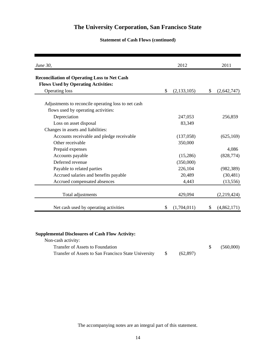## **Statement of Cash Flows (continued)**

| June 30,                                                                                          | 2012                | 2011              |
|---------------------------------------------------------------------------------------------------|---------------------|-------------------|
| <b>Reconciliation of Operating Loss to Net Cash</b><br><b>Flows Used by Operating Activities:</b> |                     |                   |
| <b>Operating loss</b>                                                                             | \$<br>(2, 133, 105) | \$<br>(2,642,747) |
| Adjustments to reconcile operating loss to net cash                                               |                     |                   |
| flows used by operating activities:                                                               |                     |                   |
| Depreciation                                                                                      | 247,053             | 256,859           |
| Loss on asset disposal                                                                            | 83,349              |                   |
| Changes in assets and liabilities:                                                                |                     |                   |
| Accounts receivable and pledge receivable                                                         | (137,058)           | (625, 169)        |
| Other receivable                                                                                  | 350,000             |                   |
| Prepaid expenses                                                                                  |                     | 4,086             |
| Accounts payable                                                                                  | (15,286)            | (828, 774)        |
| Deferred revenue                                                                                  | (350,000)           |                   |
| Payable to related parties                                                                        | 226,104             | (982, 389)        |
| Accrued salaries and benefits payable                                                             | 20,489              | (30, 481)         |
| Accrued compensated absences                                                                      | 4,443               | (13, 556)         |
| Total adjustments                                                                                 | 429,094             | (2,219,424)       |
| Net cash used by operating activities                                                             | \$<br>(1,704,011)   | \$<br>(4,862,171) |

## **Supplemental Disclosures of Cash Flow Activity:**

| Non-cash activity:                                   |          |           |
|------------------------------------------------------|----------|-----------|
| Transfer of Assets to Foundation                     |          | (560,000) |
| Transfer of Assets to San Francisco State University | (62.897) |           |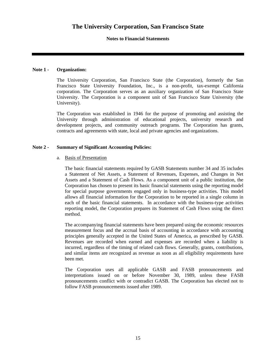## **Notes to Financial Statements**

## **Note 1 - Organization:**

The University Corporation, San Francisco State (the Corporation), formerly the San Francisco State University Foundation, Inc., is a non-profit, tax-exempt California corporation. The Corporation serves as an auxiliary organization of San Francisco State University. The Corporation is a component unit of San Francisco State University (the University).

The Corporation was established in 1946 for the purpose of promoting and assisting the University through administration of educational projects, university research and development projects, and community outreach programs. The Corporation has grants, contracts and agreements with state, local and private agencies and organizations.

## **Note 2 - Summary of Significant Accounting Policies:**

### a. Basis of Presentation

The basic financial statements required by GASB Statements number 34 and 35 includes a Statement of Net Assets, a Statement of Revenues, Expenses, and Changes in Net Assets and a Statement of Cash Flows. As a component unit of a public institution, the Corporation has chosen to present its basic financial statements using the reporting model for special purpose governments engaged only in business-type activities. This model allows all financial information for the Corporation to be reported in a single column in each of the basic financial statements. In accordance with the business-type activities reporting model, the Corporation prepares its Statement of Cash Flows using the direct method.

The accompanying financial statements have been prepared using the economic resources measurement focus and the accrual basis of accounting in accordance with accounting principles generally accepted in the United States of America, as prescribed by GASB. Revenues are recorded when earned and expenses are recorded when a liability is incurred, regardless of the timing of related cash flows. Generally, grants, contributions, and similar items are recognized as revenue as soon as all eligibility requirements have been met.

The Corporation uses all applicable GASB and FASB pronouncements and interpretations issued on or before November 30, 1989, unless these FASB pronouncements conflict with or contradict GASB. The Corporation has elected not to follow FASB pronouncements issued after 1989.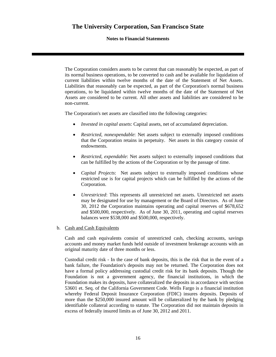## **Notes to Financial Statements**

The Corporation considers assets to be current that can reasonably be expected, as part of its normal business operations, to be converted to cash and be available for liquidation of current liabilities within twelve months of the date of the Statement of Net Assets. Liabilities that reasonably can be expected, as part of the Corporation's normal business operations, to be liquidated within twelve months of the date of the Statement of Net Assets are considered to be current. All other assets and liabilities are considered to be non-current.

The Corporation's net assets are classified into the following categories:

- *Invested in capital assets*: Capital assets, net of accumulated depreciation.
- *Restricted, nonexpendable*: Net assets subject to externally imposed conditions that the Corporation retains in perpetuity. Net assets in this category consist of endowments.
- *Restricted, expendable*: Net assets subject to externally imposed conditions that can be fulfilled by the actions of the Corporation or by the passage of time.
- *Capital Projects*: Net assets subject to externally imposed conditions whose restricted use is for capital projects which can be fulfilled by the actions of the Corporation.
- *Unrestricted*: This represents all unrestricted net assets. Unrestricted net assets may be designated for use by management or the Board of Directors. As of June 30, 2012 the Corporation maintains operating and capital reserves of \$678,652 and \$500,000, respectively. As of June 30, 2011, operating and capital reserves balances were \$538,000 and \$500,000, respectively.
- b. Cash and Cash Equivalents

Cash and cash equivalents consist of unrestricted cash, checking accounts, savings accounts and money market funds held outside of investment brokerage accounts with an original maturity date of three months or less.

Custodial credit risk - In the case of bank deposits, this is the risk that in the event of a bank failure, the Foundation's deposits may not be returned. The Corporation does not have a formal policy addressing custodial credit risk for its bank deposits. Though the Foundation is not a government agency, the financial institutions, in which the Foundation makes its deposits, have collateralized the deposits in accordance with section 53601 et. Seq. of the California Government Code. Wells Fargo is a financial institution whereby Federal Deposit Insurance Corporation (FDIC) insures deposits. Deposits of more than the \$250,000 insured amount will be collateralized by the bank by pledging identifiable collateral according to statute. The Corporation did not maintain deposits in excess of federally insured limits as of June 30, 2012 and 2011.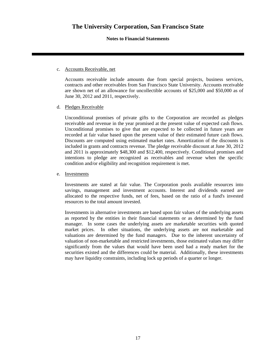## **Notes to Financial Statements**

### c. Accounts Receivable, net

Accounts receivable include amounts due from special projects, business services, contracts and other receivables from San Francisco State University. Accounts receivable are shown net of an allowance for uncollectible accounts of \$25,000 and \$50,000 as of June 30, 2012 and 2011, respectively.

## d. Pledges Receivable

Unconditional promises of private gifts to the Corporation are recorded as pledges receivable and revenue in the year promised at the present value of expected cash flows. Unconditional promises to give that are expected to be collected in future years are recorded at fair value based upon the present value of their estimated future cash flows. Discounts are computed using estimated market rates. Amortization of the discounts is included in grants and contracts revenue. The pledge receivable discount at June 30, 2012 and 2011 is approximately \$48,300 and \$12,400, respectively. Conditional promises and intentions to pledge are recognized as receivables and revenue when the specific condition and/or eligibility and recognition requirement is met.

## e. Investments

Investments are stated at fair value. The Corporation pools available resources into savings, management and investment accounts. Interest and dividends earned are allocated to the respective funds, net of fees, based on the ratio of a fund's invested resources to the total amount invested.

Investments in alternative investments are based upon fair values of the underlying assets as reported by the entities in their financial statements or as determined by the fund manager. In some cases the underlying assets are marketable securities with quoted market prices. In other situations, the underlying assets are not marketable and valuations are determined by the fund managers. Due to the inherent uncertainty of valuation of non-marketable and restricted investments, those estimated values may differ significantly from the values that would have been used had a ready market for the securities existed and the differences could be material. Additionally, these investments may have liquidity constraints, including lock up periods of a quarter or longer.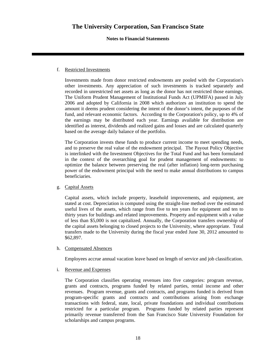## **Notes to Financial Statements**

## f. Restricted Investments

Investments made from donor restricted endowments are pooled with the Corporation's other investments. Any appreciation of such investments is tracked separately and recorded in unrestricted net assets as long as the donor has not restricted those earnings. The Uniform Prudent Management of Institutional Funds Act (UPMIFA) passed in July 2006 and adopted by California in 2008 which authorizes an institution to spend the amount it deems prudent considering the intent of the donor's intent, the purposes of the fund, and relevant economic factors. According to the Corporation's policy, up to 4% of the earnings may be distributed each year. Earnings available for distribution are identified as interest, dividends and realized gains and losses and are calculated quarterly based on the average daily balance of the portfolio.

The Corporation invests these funds to produce current income to meet spending needs, and to preserve the real value of the endowment principal. The Payout Policy Objective is interlinked with the Investment Objectives for the Total Fund and has been formulated in the context of the overarching goal for prudent management of endowments: to optimize the balance between preserving the real (after inflation) long-term purchasing power of the endowment principal with the need to make annual distributions to campus beneficiaries.

## g. Capital Assets

Capital assets, which include property, leasehold improvements, and equipment, are stated at cost. Depreciation is computed using the straight-line method over the estimated useful lives of the assets, which range from five to ten years for equipment and ten to thirty years for buildings and related improvements. Property and equipment with a value of less than \$5,000 is not capitalized. Annually, the Corporation transfers ownership of the capital assets belonging to closed projects to the University, where appropriate. Total transfers made to the University during the fiscal year ended June 30, 2012 amounted to \$62,897.

## h. Compensated Absences

Employees accrue annual vacation leave based on length of service and job classification.

### i. Revenue and Expenses

The Corporation classifies operating revenues into five categories: program revenue, grants and contracts, programs funded by related parties, rental income and other revenues. Program revenue, grants and contracts, and programs funded is derived from program-specific grants and contracts and contributions arising from exchange transactions with federal, state, local, private foundations and individual contributions restricted for a particular program. Programs funded by related parties represent primarily revenue transferred from the San Francisco State University Foundation for scholarships and campus programs.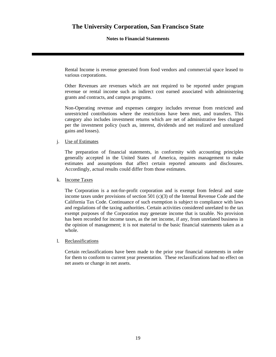## **Notes to Financial Statements**

Rental Income is revenue generated from food vendors and commercial space leased to various corporations.

Other Revenues are revenues which are not required to be reported under program revenue or rental income such as indirect cost earned associated with administering grants and contracts, and campus programs.

Non-Operating revenue and expenses category includes revenue from restricted and unrestricted contributions where the restrictions have been met, and transfers. This category also includes investment returns which are net of administrative fees charged per the investment policy (such as, interest, dividends and net realized and unrealized gains and losses).

## j. Use of Estimates

The preparation of financial statements, in conformity with accounting principles generally accepted in the United States of America, requires management to make estimates and assumptions that affect certain reported amounts and disclosures. Accordingly, actual results could differ from those estimates.

## k. Income Taxes

The Corporation is a not-for-profit corporation and is exempt from federal and state income taxes under provisions of section 501 (c)(3) of the Internal Revenue Code and the California Tax Code. Continuance of such exemption is subject to compliance with laws and regulations of the taxing authorities. Certain activities considered unrelated to the tax exempt purposes of the Corporation may generate income that is taxable. No provision has been recorded for income taxes, as the net income, if any, from unrelated business in the opinion of management; it is not material to the basic financial statements taken as a whole.

### l. Reclassifications

Certain reclassifications have been made to the prior year financial statements in order for them to conform to current year presentation. These reclassifications had no effect on net assets or change in net assets.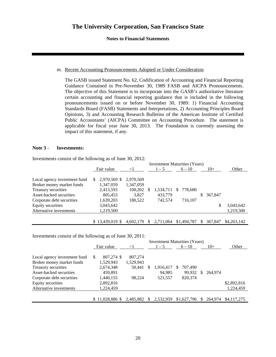## **Notes to Financial Statements**

## m. Recent Accounting Pronouncements Adopted or Under Consideration

The GASB issued Statement No. 62, Codification of Accounting and Financial Reporting Guidance Contained in Pre-November 30, 1989 FASB and AICPA Pronouncements. The objective of this Statement is to incorporate into the GASB's authoritative literature certain accounting and financial reporting guidance that is included in the following pronouncements issued on or before November 30, 1989: 1) Financial Accounting Standards Board (FASB) Statements and Interpretations, 2) Accounting Principles Board Opinions, 3) and Accounting Research Bulletins of the American Institute of Certified Public Accountants' (AICPA) Committee on Accounting Procedure. The statement is applicable for fiscal year June 30, 2013. The Foundation is currently assessing the impact of this statement, if any.

### **Note 3 - Investments:**

Investments consist of the following as of June 30, 2012:

|                              |    |                  |           |          | <b>Investment Maturities (Years)</b> |   |             |    |         |             |
|------------------------------|----|------------------|-----------|----------|--------------------------------------|---|-------------|----|---------|-------------|
|                              |    | Fair value       | $\leq$ 1  |          | $1 - 5$                              |   | $6 - 10$    |    | $10+$   | Other       |
|                              |    |                  |           |          |                                      |   |             |    |         |             |
| Local agency investment fund | S. | 2,970,569 \$     | 2,970,569 |          |                                      |   |             |    |         |             |
| Broker money market funds    |    | 1,347,059        | 1,347,059 |          |                                      |   |             |    |         |             |
| Treasury securities          |    | 2,413,593        | 100,202   | -S       | 1,534,711                            | S | 778,680     |    |         |             |
| Asset-backed securities      |    | 805.453          | 3.827     |          | 433,779                              |   |             | S. | 367,847 |             |
| Corporate debt securities    |    | 1,639,203        | 180,522   |          | 742,574                              |   | 716,107     |    |         |             |
| Equity securities            |    | 3,043,642        |           |          |                                      |   |             |    |         | 3,043,642   |
| Alternative investments      |    | 1,219,500        |           |          |                                      |   |             |    |         | 1,219,500   |
|                              |    |                  |           |          |                                      |   |             |    |         |             |
|                              |    | $$13.439.019$ \$ | 4.602.179 | <b>S</b> | 2,711,064                            |   | \$1,494,787 | S. | 367.847 | \$4,263,142 |

Investments consist of the following as of June 30, 2011:

|                              | <b>Investment Maturities (Years)</b> |                 |           |    |           |     |             |              |         |             |
|------------------------------|--------------------------------------|-----------------|-----------|----|-----------|-----|-------------|--------------|---------|-------------|
|                              |                                      | Fair value      | $\leq$ 1  |    | $1 - 5$   |     | $6 - 10$    |              | $10+$   | Other       |
|                              |                                      |                 |           |    |           |     |             |              |         |             |
| Local agency investment fund | S                                    | 807.274 \$      | 807,274   |    |           |     |             |              |         |             |
| Broker money market funds    |                                      | 1,529,943       | 1,529,943 |    |           |     |             |              |         |             |
| Treasury securities          |                                      | 2,674,348       | 50,441    | S  | 1,916,417 | \$. | 707,490     |              |         |             |
| Asset-backed securities      |                                      | 459.891         |           |    | 94.985    |     | 99,932      | <sup>S</sup> | 264.974 |             |
| Corporate debt securities    |                                      | 1,440,155       | 98.224    |    | 521,557   |     | 820,374     |              |         |             |
| Equity securities            |                                      | 2,892,816       |           |    |           |     |             |              |         | \$2,892,816 |
| Alternative investments      |                                      | 1,224,459       |           |    |           |     |             |              |         | 1,224,459   |
|                              |                                      |                 |           |    |           |     |             |              |         |             |
|                              |                                      | \$11,028,886 \$ | 2.485.882 | -S | 2,532,959 |     | \$1,627,796 | <sup>S</sup> | 264.974 | \$4,117,275 |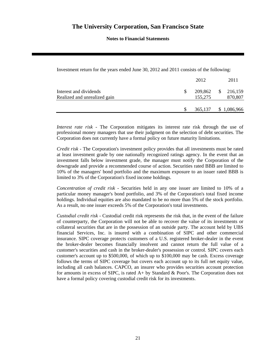**Notes to Financial Statements** 

Investment return for the years ended June 30, 2012 and 2011 consists of the following:

|                                                        | 2012               | 2011                               |
|--------------------------------------------------------|--------------------|------------------------------------|
| Interest and dividends<br>Realized and unrealized gain | 209,862<br>155,275 | <sup>S</sup><br>216,159<br>870,807 |
|                                                        | 365,137            | \$1,086,966                        |

*Interest rate risk* - The Corporation mitigates its interest rate risk through the use of professional money managers that use their judgment on the selection of debt securities. The Corporation does not currently have a formal policy on future maturity limitations.

*Credit risk* - The Corporation's investment policy provides that all investments must be rated at least investment grade by one nationally recognized ratings agency. In the event that an investment falls below investment grade, the manager must notify the Corporation of the downgrade and provide a recommended course of action. Securities rated BBB are limited to 10% of the managers' bond portfolio and the maximum exposure to an issuer rated BBB is limited to 3% of the Corporation's fixed income holdings.

*Concentration of credit risk* - Securities held in any one issuer are limited to 10% of a particular money manager's bond portfolio, and 3% of the Corporation's total fixed income holdings. Individual equities are also mandated to be no more than 5% of the stock portfolio. As a result, no one issuer exceeds 5% of the Corporation's total investments.

*Custodial credit risk* - Custodial credit risk represents the risk that, in the event of the failure of counterparty, the Corporation will not be able to recover the value of its investments or collateral securities that are in the possession of an outside party. The account held by UBS financial Services, Inc. is insured with a combination of SIPC and other commercial insurance. SIPC coverage protects customers of a U.S. registered broker-dealer in the event the broker-dealer becomes financially insolvent and cannot return the full value of a customer's securities and cash in the broker-dealer's possession or control. SIPC covers each customer's account up to \$500,000, of which up to \$100,000 may be cash. Excess coverage follows the terms of SIPC coverage but covers each account up to its full net equity value, including all cash balances. CAPCO, an insurer who provides securities account protection for amounts in excess of SIPC, is rated A+ by Standard & Poor's. The Corporation does not have a formal policy covering custodial credit risk for its investments.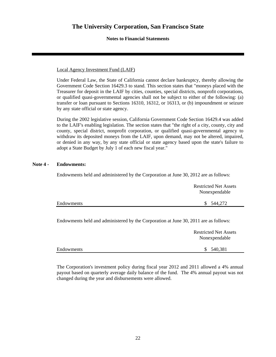## **Notes to Financial Statements**

## Local Agency Investment Fund (LAIF)

Under Federal Law, the State of California cannot declare bankruptcy, thereby allowing the Government Code Section 16429.3 to stand. This section states that "moneys placed with the Treasurer for deposit in the LAIF by cities, counties, special districts, nonprofit corporations, or qualified quasi-governmental agencies shall not be subject to either of the following: (a) transfer or loan pursuant to Sections 16310, 16312, or 16313, or (b) impoundment or seizure by any state official or state agency.

During the 2002 legislative session, California Government Code Section 16429.4 was added to the LAIF's enabling legislation. The section states that "the right of a city, county, city and county, special district, nonprofit corporation, or qualified quasi-governmental agency to withdraw its deposited moneys from the LAIF, upon demand, may not be altered, impaired, or denied in any way, by any state official or state agency based upon the state's failure to adopt a State Budget by July 1 of each new fiscal year."

## **Note 4 - Endowments:**

Endowments held and administered by the Corporation at June 30, 2012 are as follows:

|            | <b>Restricted Net Assets</b> |
|------------|------------------------------|
|            | Nonexpendable                |
| Endowments | \$544,272                    |

Endowments held and administered by the Corporation at June 30, 2011 are as follows:

Endowments \$ 540,381

| <b>Restricted Net Assets</b> |
|------------------------------|
| Nonexpendable                |
|                              |

The Corporation's investment policy during fiscal year 2012 and 2011 allowed a 4% annual payout based on quarterly average daily balance of the fund. The 4% annual payout was not changed during the year and disbursements were allowed.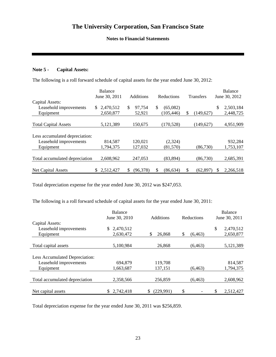## **Notes to Financial Statements**

## **Note 5 - Capital Assets:**

The following is a roll forward schedule of capital assets for the year ended June 30, 2012:

|                                |    | <b>Balance</b> |    |                  |     |                   |    |                  |    | <b>Balance</b> |
|--------------------------------|----|----------------|----|------------------|-----|-------------------|----|------------------|----|----------------|
|                                |    | June 30, 2011  |    | <b>Additions</b> |     | <b>Reductions</b> |    | <b>Transfers</b> |    | June 30, 2012  |
| Capital Assets:                |    |                |    |                  |     |                   |    |                  |    |                |
| Leasehold improvements         | S. | 2,470,512      | \$ | 97,754           | \$. | (65,082)          |    |                  | \$ | 2,503,184      |
| Equipment                      |    | 2,650,877      |    | 52,921           |     | (105, 446)        | S  | (149, 627)       |    | 2,448,725      |
|                                |    |                |    |                  |     |                   |    |                  |    |                |
| <b>Total Capital Assets</b>    |    | 5,121,389      |    | 150,675          |     | (170, 528)        |    | (149,627)        |    | 4,951,909      |
|                                |    |                |    |                  |     |                   |    |                  |    |                |
| Less accumulated depreciation: |    |                |    |                  |     |                   |    |                  |    |                |
| Leasehold improvements         |    | 814,587        |    | 120,021          |     | (2,324)           |    |                  |    | 932,284        |
| Equipment                      |    | 1,794,375      |    | 127,032          |     | (81, 570)         |    | (86, 730)        |    | 1,753,107      |
|                                |    |                |    |                  |     |                   |    |                  |    |                |
| Total accumulated depreciation |    | 2,608,962      |    | 247,053          |     | (83, 894)         |    | (86, 730)        |    | 2,685,391      |
|                                |    |                |    |                  |     |                   |    |                  |    |                |
| <b>Net Capital Assets</b>      |    | 2,512,427      | S  | (96,378)         | \$. | (86.634)          | \$ | (62, 897)        | S  | 2,266,518      |

Total depreciation expense for the year ended June 30, 2012 was \$247,053.

The following is a roll forward schedule of capital assets for the year ended June 30, 2011:

|                                | <b>Balance</b><br>June 30, 2010 | <b>Additions</b> | Reductions     | Balance<br>June 30, 2011 |
|--------------------------------|---------------------------------|------------------|----------------|--------------------------|
| Capital Assets:                |                                 |                  |                |                          |
| Leasehold improvements         | 2,470,512<br>S.                 |                  |                | \$<br>2,470,512          |
| Equipment                      | 2,630,472                       | \$<br>26,868     | \$<br>(6, 463) | 2,650,877                |
|                                |                                 |                  |                |                          |
| Total capital assets           | 5,100,984                       | 26,868           | (6, 463)       | 5,121,389                |
|                                |                                 |                  |                |                          |
| Less Accumulated Depreciation: |                                 |                  |                |                          |
| Leasehold improvements         | 694.879                         | 119,708          |                | 814,587                  |
| Equipment                      | 1,663,687                       | 137,151          | (6, 463)       | 1,794,375                |
|                                |                                 |                  |                |                          |
| Total accumulated depreciation | 2,358,566                       | 256,859          | (6, 463)       | 2,608,962                |
|                                |                                 |                  |                |                          |
| Net capital assets             | 2,742,418<br>S.                 | (229, 991)       | \$             | \$<br>2,512,427          |

Total depreciation expense for the year ended June 30, 2011 was \$256,859.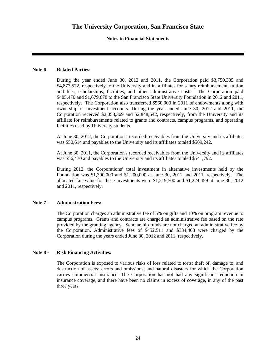## **Notes to Financial Statements**

## **Note 6 - Related Parties:**

During the year ended June 30, 2012 and 2011, the Corporation paid \$3,750,335 and \$4,877,572, respectively to the University and its affiliates for salary reimbursement, tuition and fees, scholarships, facilities, and other administrative costs. The Corporation paid \$485,470 and \$1,679,678 to the San Francisco State University Foundation in 2012 and 2011, respectively. The Corporation also transferred \$560,000 in 2011 of endowments along with ownership of investment accounts. During the year ended June 30, 2012 and 2011, the Corporation received \$2,058,369 and \$2,848,542, respectively, from the University and its affiliate for reimbursements related to grants and contracts, campus programs, and operating facilities used by University students.

At June 30, 2012, the Corporation's recorded receivables from the University and its affiliates was \$50,614 and payables to the University and its affiliates totaled \$569,242.

At June 30, 2011, the Corporation's recorded receivables from the University and its affiliates was \$56,470 and payables to the University and its affiliates totaled \$541,792.

During 2012, the Corporations' total investment in alternative investments held by the Foundation was \$1,300,000 and \$1,200,000 at June 30, 2012 and 2011, respectively. The allocated fair value for these investments were \$1,219,500 and \$1,224,459 at June 30, 2012 and 2011, respectively.

### **Note 7 - Administration Fees:**

The Corporation charges an administrative fee of 5% on gifts and 10% on program revenue to campus programs. Grants and contracts are charged an administrative fee based on the rate provided by the granting agency. Scholarship funds are not charged an administrative fee by the Corporation. Administrative fees of \$452,511 and \$334,408 were charged by the Corporation during the years ended June 30, 2012 and 2011, respectively.

## **Note 8 - Risk Financing Activities:**

The Corporation is exposed to various risks of loss related to torts: theft of, damage to, and destruction of assets; errors and omissions; and natural disasters for which the Corporation carries commercial insurance. The Corporation has not had any significant reduction in insurance coverage, and there have been no claims in excess of coverage, in any of the past three years.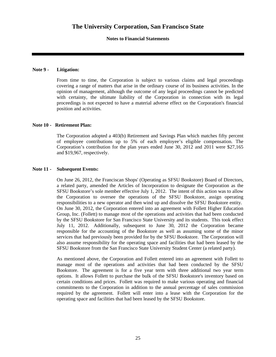**Notes to Financial Statements** 

## **Note 9 - Litigation:**

From time to time, the Corporation is subject to various claims and legal proceedings covering a range of matters that arise in the ordinary course of its business activities. In the opinion of management, although the outcome of any legal proceedings cannot be predicted with certainty, the ultimate liability of the Corporation in connection with its legal proceedings is not expected to have a material adverse effect on the Corporation's financial position and activities.

## **Note 10 - Retirement Plan:**

The Corporation adopted a 403(b) Retirement and Savings Plan which matches fifty percent of employee contributions up to 5% of each employee's eligible compensation. The Corporation's contribution for the plan years ended June 30, 2012 and 2011 were \$27,165 and \$19,967, respectively.

## **Note 11 - Subsequent Events:**

On June 26, 2012, the Franciscan Shops' (Operating as SFSU Bookstore) Board of Directors, a related party, amended the Articles of Incorporation to designate the Corporation as the SFSU Bookstore's sole member effective July 1, 2012. The intent of this action was to allow the Corporation to oversee the operations of the SFSU Bookstore, assign operating responsibilities to a new operator and then wind up and dissolve the SFSU Bookstore entity. On June 30, 2012, the Corporation entered into an agreement with Follett Higher Education Group, Inc. (Follett) to manage most of the operations and activities that had been conducted by the SFSU Bookstore for San Francisco State University and its students. This took effect July 11, 2012. Additionally, subsequent to June 30, 2012 the Corporation became responsible for the accounting of the Bookstore as well as assuming some of the minor services that had previously been provided for by the SFSU Bookstore. The Corporation will also assume responsibility for the operating space and facilities that had been leased by the SFSU Bookstore from the San Francisco State University Student Center (a related party).

As mentioned above, the Corporation and Follett entered into an agreement with Follett to manage most of the operations and activities that had been conducted by the SFSU Bookstore. The agreement is for a five year term with three additional two year term options. It allows Follett to purchase the bulk of the SFSU Bookstore's inventory based on certain conditions and prices. Follett was required to make various operating and financial commitments to the Corporation in addition to the annual percentage of sales commission required by the agreement. Follett will enter into a lease with the Corporation for the operating space and facilities that had been leased by the SFSU Bookstore.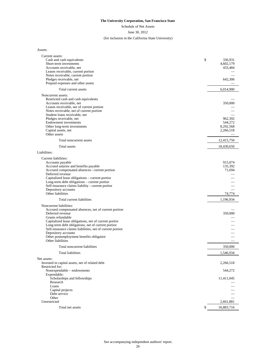Schedule of Net Assets

#### June 30, 2012

#### (for inclusion in the California State University)

Assets:

| Current assets:                                                            |                        |
|----------------------------------------------------------------------------|------------------------|
| Cash and cash equivalents                                                  | \$<br>336,931          |
| Short-term investments<br>Accounts receivable, net                         | 4,602,179<br>433,484   |
| Leases receivable, current portion                                         |                        |
| Notes receivable, current portion                                          |                        |
| Pledges receivable, net                                                    | 642,306                |
| Prepaid expenses and other assets                                          |                        |
| Total current assets                                                       | 6,014,900              |
| Noncurrent assets:                                                         |                        |
| Restricted cash and cash equivalents                                       |                        |
| Accounts receivable, net<br>Leases receivable, net of current portion      | 350,000                |
| Notes receivable, net of current portion                                   |                        |
| Student loans receivable, net                                              |                        |
| Pledges receivable, net                                                    | 962,392                |
| <b>Endowment</b> investments                                               | 544,272                |
| Other long-term investments<br>Capital assets, net                         | 8,292,568<br>2,266,518 |
| Other assets                                                               |                        |
| Total noncurrent assets                                                    | 12,415,750             |
| Total assets                                                               | 18,430,650             |
| Liabilities:                                                               |                        |
| Current liabilities:                                                       |                        |
| Accounts payable                                                           | 915,074                |
| Accrued salaries and benefits payable                                      | 135,392                |
| Accrued compensated absences- current portion<br>Deferred revenue          | 71,694                 |
| Capitalized lease obligations - current portion                            |                        |
| Long-term debt obligations - current portion                               |                        |
| Self-insurance claims liability - current portion                          |                        |
| Depository accounts<br>Other liabilities                                   | 74,774                 |
| Total current liabilities                                                  | 1,196,934              |
| Noncurrent liabilities:                                                    |                        |
| Accrued compensated absences, net of current portion                       |                        |
| Deferred revenue                                                           | 350,000                |
| Grants refundable<br>Capitalized lease obligations, net of current portion |                        |
| Long-term debt obligations, net of current portion                         |                        |
| Self-insurance claims liabilities, net of current portion                  |                        |
| Depository accounts                                                        |                        |
| Other postemployment benefits obligation                                   |                        |
| Other liabilities                                                          |                        |
| Total noncurrent liabilities                                               | 350,000                |
| Total liabilities                                                          | 1,546,934              |
| Net assets:<br>Invested in capital assets, net of related debt             | 2,266,518              |
| Restricted for:                                                            |                        |
| Nonexpendable - endowments                                                 | 544,272                |
| Expendable:                                                                |                        |
| Scholarships and fellowships                                               | 11,411,045             |
| Research<br>Loans                                                          |                        |
| Capital projects                                                           |                        |
| Debt service                                                               |                        |
| Other                                                                      |                        |
| Unrestricted                                                               | 2,661,881              |
| Total net assets                                                           | \$<br>16,883,716       |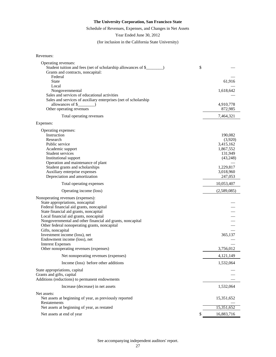## Schedule of Revenues, Expenses, and Changes in Net Assets

Year Ended June 30, 2012

(for inclusion in the California State University)

| Revenues: |
|-----------|
|-----------|

| Operating revenues:                                             |             |
|-----------------------------------------------------------------|-------------|
| Student tuition and fees (net of scholarship allowances of \$_  | \$          |
| Grants and contracts, noncapital:                               |             |
| Federal                                                         |             |
| <b>State</b>                                                    | 61,916      |
| Local                                                           |             |
| Nongovernmental                                                 | 1,618,642   |
| Sales and services of educational activities                    |             |
| Sales and services of auxiliary enterprises (net of scholarship |             |
| allowances of \$                                                | 4,910,778   |
| Other operating revenues                                        | 872,985     |
| Total operating revenues                                        | 7,464,321   |
| Expenses:                                                       |             |
| Operating expenses:                                             |             |
| Instruction                                                     | 190,082     |
| Research                                                        | (3,920)     |
| Public service                                                  | 3,415,162   |
| Academic support                                                | 1,867,552   |
| Student services                                                | 131,949     |
| Institutional support                                           | (43,248)    |
| Operation and maintenance of plant                              |             |
| Student grants and scholarships                                 | 1,229,817   |
| Auxiliary enterprise expenses                                   | 3,018,960   |
| Depreciation and amortization                                   | 247,053     |
| Total operating expenses                                        | 10,053,407  |
| Operating income (loss)                                         | (2,589,085) |
|                                                                 |             |
| Nonoperating revenues (expenses):                               |             |
| State appropriations, noncapital                                |             |
| Federal financial aid grants, noncapital                        |             |
| State financial aid grants, noncapital                          |             |
| Local financial aid grants, noncapital                          |             |
| Nongovernmental and other financial aid grants, noncapital      |             |
| Other federal nonoperating grants, noncapital                   |             |
| Gifts, noncapital                                               |             |
| Investment income (loss), net                                   | 365,137     |
| Endowment income (loss), net                                    |             |
| <b>Interest Expenses</b>                                        |             |
| Other nonoperating revenues (expenses)                          | 3,756,012   |
| Net nonoperating revenues (expenses)                            | 4,121,149   |
| Income (loss) before other additions                            | 1,532,064   |
| State appropriations, capital                                   |             |
| Grants and gifts, capital                                       |             |
| Additions (reductions) to permanent endowments                  |             |
| Increase (decrease) in net assets                               | 1,532,064   |
| Net assets:                                                     |             |
| Net assets at beginning of year, as previously reported         | 15,351,652  |
| Restatements                                                    |             |
| Net assets at beginning of year, as restated                    | 15,351,652  |
| Net assets at end of year                                       | 16,883,716  |
|                                                                 |             |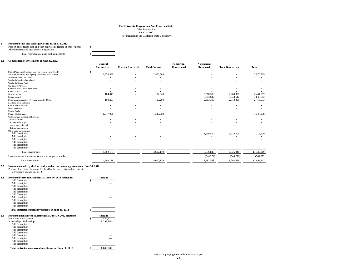June 30, 2012 (for inclusion in the California State University)

#### **1 Restricted cash and cash equivalents at June 30, 2012:**

Portion of restricted cash and cash equivalents related to endowments 8<br>All other restricted cash and cash equivalent All other restricted cash and cash equivalent Total restricted cash and cash equivalents  $\$\sim$ 

#### **2.1 Composition of investments at June 30, 2012:**

|                                                          | Unrestricted                  | <b>Current Restricted</b> |                      |              |                   |                         |                          |
|----------------------------------------------------------|-------------------------------|---------------------------|----------------------|--------------|-------------------|-------------------------|--------------------------|
|                                                          |                               |                           | <b>Total Current</b> | Unrestricted | <b>Restricted</b> | <b>Total Noncurrent</b> | <b>Total</b>             |
| State of California Surplus Money Investment Fund (SMIF) | S<br>$\overline{\phantom{a}}$ |                           |                      |              |                   | ٠                       | $\overline{\phantom{a}}$ |
| State of California Local Agency Investment Fund (LAIF)  | 2,970,569                     |                           | 2,970,569            |              |                   | ٠                       | 2,970,569                |
| Wachovia Short Term Fund                                 |                               |                           |                      |              |                   |                         |                          |
| Wachovia Medium Term Fund                                |                               |                           |                      |              |                   |                         |                          |
| Wachovia Equity Fund                                     |                               |                           |                      |              |                   |                         |                          |
| US Bank SWIFT pool                                       |                               |                           |                      |              |                   |                         |                          |
| Common Fund - Short Term Fund                            |                               |                           |                      |              |                   |                         |                          |
| Common Fund - Others                                     |                               |                           |                      |              |                   |                         |                          |
| Debt securities                                          | 184,349                       |                           | 184,349              |              | 2,260,308         | 2,260,308               | 2,444,657                |
| Equity securities                                        |                               |                           |                      |              | 3,043,642         | 3,043,642               | 3,043,642                |
| Fixed income securities (Treasury notes, GNMA's)         | 100,203                       |                           | 100,203              |              | 2,313,390         | 2,313,390               | 2,413,593                |
| Land and other real estate                               |                               |                           |                      |              |                   |                         |                          |
| Certificates of deposit                                  |                               |                           |                      |              |                   | ٠                       |                          |
| Notes receivable                                         |                               |                           |                      |              |                   |                         |                          |
| Mutual funds                                             |                               |                           |                      |              |                   |                         |                          |
| Money Market funds                                       | 1,347,058                     |                           | 1,347,058            |              |                   | ٠                       | 1,347,058                |
| Collateralized mortgage obligations:                     |                               |                           |                      |              |                   |                         |                          |
| Inverse floaters                                         |                               |                           |                      |              |                   |                         |                          |
| Interest-only strips                                     |                               |                           |                      |              |                   |                         |                          |
| Agency pass-through                                      |                               |                           |                      |              |                   |                         |                          |
| Private pass-through                                     |                               |                           |                      |              |                   |                         |                          |
| Other major investments:                                 |                               |                           |                      |              | 1,219,500         |                         | 1,219,500                |
| Add description<br>Add description                       |                               |                           |                      |              |                   | 1,219,500               |                          |
| Add description                                          |                               |                           |                      |              |                   |                         |                          |
| Add description                                          |                               |                           |                      |              |                   |                         |                          |
| Add description                                          |                               |                           |                      |              |                   |                         |                          |
| Add description                                          |                               |                           |                      |              |                   |                         |                          |
|                                                          |                               |                           |                      |              |                   |                         |                          |
| Total investments                                        | 4,602,179                     |                           | 4,602,179            |              | 8,836,840         | 8,836,840               | 13,439,019               |
| Less endowment investments (enter as negative number)    |                               |                           |                      |              | (544, 272)        | (544, 272)              | (544, 272)               |
| Total investments                                        | 4,602,179                     |                           | 4,602,179            |              | 8,292,568         | 8,292,568               | 12,894,747               |

## **2.2 Investments held by the University under contractual agreements at June 30, 2012:** Portion of investments in note 2.1 held by the University under contractu

agreements at June 30, 2012 :  $\blacksquare$ **2.3 Restricted current investments at June 30, 2012 related to: Amount**

| ديه | Resulted current investments at June 50, 2012 related to:      | лшоиш           |
|-----|----------------------------------------------------------------|-----------------|
|     | Add description                                                | \$              |
|     | Add description                                                |                 |
|     | Add description                                                |                 |
|     | Add description                                                |                 |
|     | Add description                                                |                 |
|     | Add description                                                |                 |
|     | Add description                                                |                 |
|     | Add description                                                |                 |
|     | Add description                                                |                 |
|     | Add description                                                |                 |
|     | Total restricted current investments at June 30, 2012          |                 |
| 2.4 | Restricted noncurrent investments at June 30, 2012 related to: | Amount          |
|     | Endowment investment                                           | \$<br>544,272   |
|     | Scholarships, Fellowships                                      | 8,292,568       |
|     | Add description                                                |                 |
|     |                                                                |                 |
|     | Add description                                                |                 |
|     | Add description                                                |                 |
|     | Add description                                                |                 |
|     | Add description                                                |                 |
|     | Add description                                                |                 |
|     | Add description                                                |                 |
|     | Add description                                                |                 |
|     | Total restricted noncurrent investments at June 30, 2012       | \$<br>8,836,840 |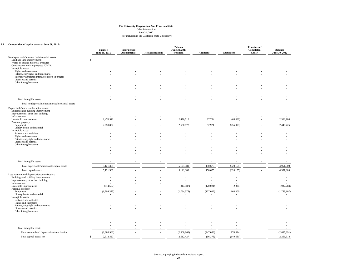June 30, 2012 (for inclusion in the California State University)

#### **3.1 Composition of capital assets at June 30, 2012:**

| Composition of capital assets at June 30, 2012:                                         | <b>Balance</b><br>June 30, 2011 | <b>Prior period</b><br><b>Adjustments</b> | <b>Reclassifications</b> | <b>Balance</b><br>June 30, 2011<br>(restated) | <b>Additions</b> | <b>Reductions</b> | <b>Transfers of</b><br>Completed<br><b>CWIP</b> | <b>Balance</b><br>June 30, 2012 |
|-----------------------------------------------------------------------------------------|---------------------------------|-------------------------------------------|--------------------------|-----------------------------------------------|------------------|-------------------|-------------------------------------------------|---------------------------------|
| Nondepreciable/nonamortizable capital assets:                                           |                                 |                                           |                          |                                               |                  |                   |                                                 |                                 |
| Land and land improvements                                                              | \$.                             |                                           |                          |                                               |                  |                   |                                                 |                                 |
| Works of art and historical treasures<br>Construction work in progress (CWIP)           |                                 |                                           |                          |                                               |                  |                   |                                                 |                                 |
| Intangible assets:                                                                      |                                 |                                           |                          |                                               |                  |                   |                                                 |                                 |
| Rights and easements                                                                    |                                 |                                           |                          |                                               |                  |                   |                                                 |                                 |
| Patents, copyrights and trademarks<br>Internally generated intangible assets in progres |                                 |                                           |                          |                                               |                  |                   |                                                 |                                 |
| Licenses and permits                                                                    |                                 |                                           |                          |                                               |                  |                   |                                                 |                                 |
| Other intangible assets                                                                 |                                 |                                           |                          |                                               |                  |                   |                                                 |                                 |
|                                                                                         |                                 |                                           |                          |                                               |                  |                   |                                                 |                                 |
|                                                                                         |                                 |                                           |                          |                                               |                  |                   |                                                 |                                 |
|                                                                                         |                                 |                                           |                          |                                               |                  |                   |                                                 |                                 |
| Total intangible assets                                                                 |                                 |                                           |                          |                                               |                  |                   |                                                 |                                 |
| Total nondepreciable/nonamortizable capital assets                                      |                                 |                                           |                          |                                               |                  |                   |                                                 |                                 |
| Depreciable/amortizable capital assets:                                                 |                                 |                                           |                          |                                               |                  |                   |                                                 |                                 |
| Buildings and building improvement<br>Improvements, other than building:                |                                 |                                           |                          |                                               |                  |                   |                                                 |                                 |
| Infrastructure                                                                          |                                 |                                           |                          |                                               |                  |                   |                                                 |                                 |
| Leasehold improvements                                                                  | 2,470,512                       |                                           |                          | 2,470,512                                     | 97,754           | (65,082)          |                                                 | 2,503,184                       |
| Personal property:<br>Equipment                                                         | 2,650,877                       |                                           |                          | 2,650,877                                     | 52,921           | (255,073)         |                                                 | 2,448,725                       |
| Library books and materials                                                             |                                 |                                           |                          |                                               | $\sim$           |                   |                                                 |                                 |
| Intangible assets:<br>Software and websites                                             |                                 |                                           |                          |                                               |                  |                   |                                                 |                                 |
| Rights and easements                                                                    |                                 |                                           |                          |                                               |                  |                   |                                                 |                                 |
| Patents, copyright and trademarks                                                       |                                 |                                           |                          |                                               |                  |                   |                                                 |                                 |
| Licenses and permits<br>Other intangible assets                                         |                                 |                                           |                          |                                               |                  |                   |                                                 |                                 |
|                                                                                         |                                 |                                           |                          |                                               |                  |                   |                                                 |                                 |
|                                                                                         |                                 |                                           |                          |                                               |                  |                   |                                                 |                                 |
|                                                                                         |                                 |                                           |                          |                                               |                  |                   |                                                 |                                 |
| Total intangible assets                                                                 |                                 |                                           |                          |                                               |                  |                   |                                                 |                                 |
| Total depreciable/amortizable capital assets                                            | 5,121,389                       |                                           |                          | 5,121,389                                     | 150,675          | (320, 155)        |                                                 | 4,951,909                       |
|                                                                                         | 5,121,389                       |                                           | $\sim$                   | 5,121,389                                     |                  | (320, 155)        |                                                 | 4,951,909                       |
| Total capital assets                                                                    |                                 |                                           |                          |                                               | 150,675          |                   |                                                 |                                 |
| Less accumulated depreciation/amortization:<br>Buildings and building improvement       |                                 |                                           |                          |                                               |                  | $\overline{a}$    |                                                 |                                 |
| Improvements, other than building:                                                      |                                 |                                           |                          |                                               |                  | $\sim$            |                                                 |                                 |
| Infrastructure<br>Leasehold improvements                                                | (814, 587)                      |                                           |                          | (814, 587)                                    | (120, 021)       | 2,324             |                                                 | (932, 284)                      |
| Personal property:                                                                      |                                 |                                           |                          |                                               |                  |                   |                                                 |                                 |
| Equipment<br>Library books and materials                                                | (1,794,375)                     |                                           |                          | (1,794,375)                                   | (127, 032)       | 168,300           |                                                 | (1,753,107)                     |
| Intangible assets:                                                                      |                                 |                                           |                          |                                               |                  |                   |                                                 |                                 |
| Software and websites                                                                   |                                 |                                           |                          |                                               |                  |                   |                                                 |                                 |
| Rights and easements<br>Patents, copyright and trademarks                               |                                 |                                           |                          |                                               |                  |                   |                                                 |                                 |
| Licenses and permits                                                                    |                                 |                                           |                          |                                               |                  |                   |                                                 |                                 |
| Other intangible assets                                                                 |                                 |                                           |                          |                                               |                  |                   |                                                 |                                 |
|                                                                                         |                                 |                                           |                          |                                               |                  |                   |                                                 |                                 |
|                                                                                         |                                 |                                           |                          |                                               |                  |                   |                                                 |                                 |
|                                                                                         |                                 |                                           |                          |                                               |                  |                   |                                                 |                                 |
| Total intangible assets                                                                 |                                 |                                           |                          |                                               |                  |                   |                                                 |                                 |
| Total accumulated depreciation/amortization                                             | (2,608,962)                     |                                           |                          | (2,608,962)                                   | (247, 053)       | 170,624           |                                                 | (2,685,391)                     |
| Total capital assets, net                                                               | 2,512,427<br>s.                 | $\overline{\phantom{a}}$                  | $\sim$                   | 2,512,427                                     | (96, 378)        | (149, 531)        |                                                 | 2,266,518                       |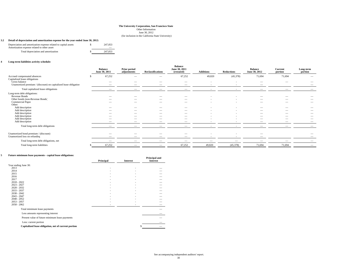#### (for inclusion in the California State University)

#### **3.2 Detail of depreciation and amortization expense for the year ended June 30, 2012:**

| Depreciation and amortization expense related to capital assets<br>Amortization expense related to other asset: | 247,053 |  |
|-----------------------------------------------------------------------------------------------------------------|---------|--|
| Total depreciation and amortization                                                                             | 247,053 |  |

#### **4 Long-term liabilities activity schedule:**

|                                                                        | <b>Balance</b><br>June 30, 2011 | <b>Prior period</b><br>adjustments | <b>Reclassifications</b> | <b>Balance</b><br>June 30, 2011<br>(restated) | <b>Additions</b> | <b>Reductions</b> | <b>Balance</b><br>June 30, 2012 | Current<br>portion             | Long-term<br>portion     |
|------------------------------------------------------------------------|---------------------------------|------------------------------------|--------------------------|-----------------------------------------------|------------------|-------------------|---------------------------------|--------------------------------|--------------------------|
| Accrued compensated absences<br>Capitalized lease obligations          | 67,252                          |                                    |                          | 67,252                                        | 49,820           | (45,378)          | 71,694                          | 71,694                         | $\overline{\phantom{a}}$ |
| Gross balance                                                          |                                 |                                    | $\overline{\phantom{m}}$ | $\sim$                                        | $\sim$           | $\sim$            | $\overline{\phantom{a}}$        |                                | $\overline{\phantom{a}}$ |
| Unamortized premium / (discount) on capitalized lease obligation       |                                 |                                    |                          |                                               |                  |                   |                                 |                                |                          |
| Total capitalized lease obligations                                    | $\overline{\phantom{a}}$        |                                    | $\overline{\phantom{a}}$ |                                               |                  |                   |                                 | __                             |                          |
| Long-term debt obligations:                                            |                                 |                                    |                          |                                               |                  |                   |                                 |                                |                          |
| Revenue Bonds                                                          |                                 |                                    |                          |                                               |                  |                   |                                 |                                |                          |
| Other bonds (non-Revenue Bonds)                                        |                                 | $\overline{\phantom{a}}$           |                          |                                               |                  |                   |                                 |                                |                          |
| Commercial Paper                                                       |                                 |                                    | $\overline{\phantom{a}}$ | $\overline{\phantom{m}}$                      |                  |                   |                                 | $\overline{\phantom{m}}$       | $\overline{\phantom{a}}$ |
| Other:                                                                 |                                 |                                    |                          |                                               |                  |                   |                                 |                                |                          |
| Add description                                                        | $\overline{\phantom{a}}$        | $\overline{\phantom{a}}$           | $\overline{\phantom{a}}$ | $\overline{\phantom{a}}$                      |                  |                   | $\overline{\phantom{a}}$        | $\overline{\phantom{a}}$       | $\overline{\phantom{a}}$ |
| Add description                                                        |                                 |                                    | $\overline{\phantom{m}}$ |                                               |                  |                   | $\overline{\phantom{a}}$        |                                | $\overline{\phantom{a}}$ |
| Add description                                                        |                                 |                                    | $\overline{\phantom{a}}$ | $\overline{\phantom{m}}$                      |                  |                   | $\overline{\phantom{a}}$        |                                |                          |
| Add description                                                        | $\overline{\phantom{a}}$        | $\overline{\phantom{a}}$           | $\overline{\phantom{a}}$ | $\overline{\phantom{a}}$                      |                  |                   | $\overline{\phantom{a}}$        | $\overline{\phantom{a}}$       | $\overline{\phantom{a}}$ |
| Add description                                                        |                                 |                                    |                          |                                               |                  |                   | $\overline{\phantom{a}}$        |                                |                          |
| Add description                                                        | $\overline{\phantom{0}}$        |                                    | $\overline{\phantom{0}}$ |                                               |                  |                   |                                 |                                |                          |
| Total long-term debt obligations                                       | $\overline{\phantom{0}}$        |                                    |                          | -                                             |                  |                   |                                 | $\qquad \qquad \longleftarrow$ |                          |
|                                                                        |                                 |                                    |                          |                                               |                  |                   |                                 |                                |                          |
| Unamortized bond premium / (discount)<br>Unamortized loss on refunding | $\overline{\phantom{0}}$        |                                    | $\overline{\phantom{0}}$ | $\overline{\phantom{m}}$                      |                  |                   | $\hspace{0.1mm}-\hspace{0.1mm}$ |                                | $\overline{\phantom{a}}$ |
| Total long-term debt obligations, net                                  |                                 | $\overline{\phantom{a}}$           | $\overline{\phantom{a}}$ | $\overline{\phantom{a}}$                      |                  |                   | $\overline{\phantom{a}}$        | $\overline{\phantom{a}}$       |                          |
| Total long-term liabilities                                            | 67,252                          |                                    |                          | 67,252                                        | 49,820           | (45,378)          | 71,694                          | 71,694                         |                          |

#### **5 Future minimum lease payments - capital lease obligations:**

| Future minimum rease payments - capital rease obligations. |           |                 | Principal and   |
|------------------------------------------------------------|-----------|-----------------|-----------------|
|                                                            | Principal | <b>Interest</b> | <b>Interest</b> |
| Year ending June 30:                                       |           |                 |                 |
| 2013                                                       |           |                 |                 |
| 2014                                                       |           |                 |                 |
| 2015                                                       |           |                 |                 |
| 2016                                                       |           |                 |                 |
| 2017<br>$2018 - 2022$                                      |           |                 |                 |
| $2023 - 2027$                                              |           |                 |                 |
| $2028 - 2032$                                              |           |                 |                 |
| $2033 - 2037$                                              |           |                 |                 |
| $2038 - 2042$                                              |           |                 |                 |
| $2043 - 2047$                                              |           |                 |                 |
| $2048 - 2052$                                              |           |                 |                 |
| $2053 - 2057$                                              |           |                 |                 |
| $2058 - 2062$                                              |           |                 |                 |
| Total minimum lease payments                               |           |                 |                 |
| Less amounts representing interest                         |           |                 |                 |
| Present value of future minimum lease payments             |           |                 |                 |
| Less: current portion                                      |           |                 |                 |
| Capitalized lease obligation, net of current portion       |           |                 |                 |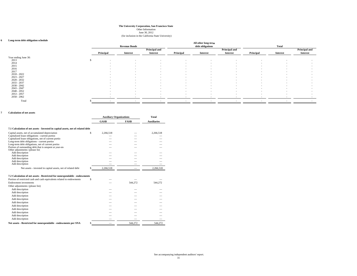June 30, 2012

#### (for inclusion in the California State University)

#### **6 Long-term debt obligation schedule**

| Long-term debt obligation schedule |           |                          |                          |                          | All other long-term      |                          |           |                 |                      |
|------------------------------------|-----------|--------------------------|--------------------------|--------------------------|--------------------------|--------------------------|-----------|-----------------|----------------------|
|                                    |           | <b>Revenue Bonds</b>     |                          |                          | debt obligations         |                          |           | <b>Total</b>    |                      |
|                                    |           |                          | Principal and            |                          |                          | <b>Principal and</b>     |           |                 | <b>Principal and</b> |
|                                    | Principal | Interest                 | Interest                 | Principal                | <b>Interest</b>          | <b>Interest</b>          | Principal | <b>Interest</b> | <b>Interest</b>      |
| Year ending June 30:               |           |                          |                          |                          |                          |                          |           |                 |                      |
| 2013                               | $\sim$    | $\sim$                   | $\overline{\phantom{a}}$ | $\overline{\phantom{a}}$ |                          |                          |           |                 |                      |
| 2014                               | $\sim$    | $\sim$                   | $\sim$                   | $\sim$                   | $\sim$                   |                          |           |                 |                      |
| 2015                               | $\sim$    | $\sim$                   | $\overline{\phantom{a}}$ | $\sim$                   | $\overline{\phantom{a}}$ |                          |           |                 |                      |
| 2016                               | $\sim$    | $\sim$                   | $\overline{\phantom{a}}$ | $\sim$                   | $\sim$                   |                          |           | $\sim$          |                      |
| 2017                               | $\sim$    | $\sim$                   | $\sim$                   | $\sim$                   | $\sim$                   | $\overline{\phantom{a}}$ | $\sim$    | $\sim$          |                      |
| $2018 - 2022$                      | $\sim$    | $\sim$                   | $\sim$                   | $\sim$                   | $\sim$                   | $\sim$                   | $\sim$    | $\sim$          |                      |
| $2023 - 2027$                      | $\sim$    | $\overline{\phantom{a}}$ | $\overline{\phantom{a}}$ | $\overline{\phantom{a}}$ | $\overline{\phantom{a}}$ | $\sim$                   | $\sim$    | $\sim$          | $\sim$               |
| $2028 - 2032$                      | $\sim$    | $\overline{\phantom{a}}$ | $\overline{\phantom{a}}$ | $\sim$                   | $\overline{\phantom{a}}$ | $\overline{\phantom{a}}$ | $\sim$    | $\sim$          | $\sim$               |
| $2033 - 2037$                      | $\sim$    | $\sim$                   | $\overline{\phantom{a}}$ | $\sim$                   | $\sim$                   | $\overline{\phantom{a}}$ | $\sim$    | $\sim$          |                      |
| $2038 - 2042$                      | $\sim$    | $\sim$                   | $\overline{\phantom{a}}$ | $\sim$                   | $\sim$                   | $\sim$                   | $\sim$    | $\sim$          | $\sim$               |
| $2043 - 2047$                      | $\sim$    | $\sim$                   | $\overline{\phantom{a}}$ | $\sim$                   | $\overline{\phantom{a}}$ | $\overline{\phantom{a}}$ | $\sim$    | $\sim$          | $\sim$               |
| $2048 - 2052$                      | $\sim$    | $\sim$                   | $\overline{\phantom{a}}$ | $\sim$                   | $\sim$                   | $\overline{\phantom{a}}$ | $\sim$    | $\sim$          | $\sim$               |
| $2053 - 2057$                      | $\sim$    | $\sim$                   | $\overline{\phantom{a}}$ | $\sim$                   | $\sim$                   | $\sim$                   | $\sim$    | $\sim$          | $\sim$               |
| $2058 - 2062$                      |           |                          |                          |                          |                          |                          |           |                 |                      |
| Total                              |           |                          |                          | $\sim$                   |                          |                          |           |                 |                      |

#### **7 Calculation of net assets**

|                                                                                             | <b>Auxiliary Organizations</b> |             | <b>Total</b> |                    |
|---------------------------------------------------------------------------------------------|--------------------------------|-------------|--------------|--------------------|
|                                                                                             |                                | <b>GASB</b> | <b>FASB</b>  | <b>Auxiliaries</b> |
| 7.1 Calculation of net assets - Invested in capital assets, net of related debt             |                                |             |              |                    |
| Capital assets, net of accumulated depreciation                                             | \$                             | 2,266,518   |              | 2,266,518          |
| Capitalized lease obligations - current portion                                             |                                |             |              |                    |
| Capitalized lease obligations, net of current portio                                        |                                |             |              |                    |
| Long-term debt obligations - current portion                                                |                                |             |              |                    |
| Long-term debt obligations, net of current portion                                          |                                |             |              |                    |
| Portion of outstanding debt that is unspent at year-en-<br>Other adjustments: (please list) |                                |             |              |                    |
| Add description                                                                             |                                |             |              |                    |
| Add description                                                                             |                                |             |              |                    |
| Add description                                                                             |                                |             |              |                    |
| Add description                                                                             |                                |             |              |                    |
| Add description                                                                             |                                |             |              |                    |
| Net assets - invested in capital assets, net of related debt                                |                                | 2,266,518   |              | 2,266,518          |
|                                                                                             |                                |             |              |                    |
| 7.2 Calculation of net assets - Restricted for nonexpendable - endowments                   |                                |             |              |                    |
| Portion of restricted cash and cash equivalents related to endowments                       | S                              |             |              |                    |
| Endowment investments                                                                       |                                |             | 544.272      | 544,272            |
| Other adjustments: (please list)                                                            |                                |             |              |                    |
| Add description                                                                             |                                |             |              |                    |
| Add description                                                                             |                                |             |              |                    |
| Add description                                                                             |                                |             |              |                    |
| Add description                                                                             |                                |             |              |                    |
| Add description                                                                             |                                |             |              |                    |
| Add description                                                                             |                                |             |              |                    |
| Add description                                                                             |                                |             |              |                    |
|                                                                                             |                                |             |              |                    |
| Add description                                                                             |                                |             |              |                    |
| Add description                                                                             |                                |             |              |                    |
| Add description                                                                             |                                |             |              |                    |
|                                                                                             |                                |             |              |                    |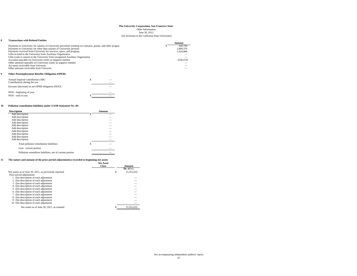June 30, 2012

#### (for inclusion in the California State University)

#### **8 Transactions with Related Entities**

|                                                                                                             | Amount     |
|-------------------------------------------------------------------------------------------------------------|------------|
| Payments to University for salaries of University personnel working on contracts, grants, and other program | 428,704    |
| Payments to University for other than salaries of University personn                                        | 2,800,370  |
| Payments received from University for services, space, and program                                          | 1.024.984  |
| Gifts-in-kind to the University from Auxiliary Organization                                                 |            |
| Gifts (cash or assets) to the University from recognized Auxiliary Organization                             |            |
| Accounts (payable to) University (enter as negative number                                                  | (528, 219) |
| Other amounts (payable to) University (enter as negative number                                             |            |
| Accounts receivable from University                                                                         |            |
| Other amounts receivable from Universit                                                                     |            |

#### **9 Other Postemployment Benefits Obligation (OPEB)**

| Annual required contribution (ARC)<br>Contributions during the year |  |
|---------------------------------------------------------------------|--|
| Increase (decrease) in net OPEB obligation (NOO)                    |  |
| NOO - beginning of year                                             |  |
| NOO - end of year                                                   |  |

#### **10 Pollution remediation liabilities under GASB Statement No. 49:**

| <b>Description</b>                                       | Amount |
|----------------------------------------------------------|--------|
| Add description                                          |        |
| Add description                                          |        |
| Add description                                          |        |
| Add description                                          |        |
| Add description                                          |        |
| Add description                                          |        |
| Add description                                          |        |
| Add description                                          |        |
| Add description                                          |        |
| Add description                                          |        |
| Total pollution remediation liabilities                  | \$     |
| Less: current portion                                    |        |
| Pollution remedition liabilities, net of current portion |        |

#### **11 The nature and amount of the prior period adjustment(s) recorded to beginning net assets Net Asset**

|                                                        | <b>TACL CROOCL</b><br><b>Class</b> |   | Amount     |
|--------------------------------------------------------|------------------------------------|---|------------|
|                                                        |                                    |   | Dr. (Cr.)  |
| Net assets as of June 30, 2011, as previously reported |                                    | S | 15,351,652 |
| Prior period adjustments                               |                                    |   |            |
| (list description of each adjustment                   |                                    |   |            |
| 2 (list description of each adjustment                 |                                    |   |            |
| (list description of each adjustment)<br>3.            |                                    |   |            |
| (list description of each adjustment)<br>4             |                                    |   |            |
| (list description of each adjustment                   |                                    |   |            |
| (list description of each adjustment)<br>6             |                                    |   |            |
| (list description of each adjustment)                  |                                    |   |            |
| (list description of each adjustment)<br>8             |                                    |   |            |
| (list description of each adjustment)                  |                                    |   |            |
| (list description of each adjustment)<br>10            |                                    |   |            |
| Net assets as of June 30, 2011, as restated            |                                    |   | 15.351.652 |